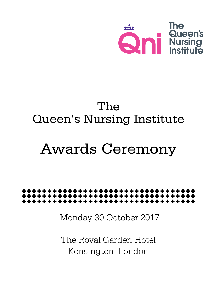

## The Queen's Nursing Institute

# Awards Ceremony



Monday 30 October 2017

The Royal Garden Hotel Kensington, London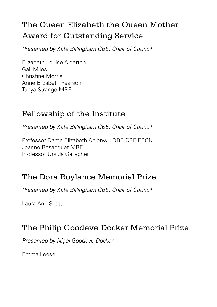### The Queen Elizabeth the Queen Mother Award for Outstanding Service

*Presented by Kate Billingham CBE, Chair of Council* 

Elizabeth Louise Alderton Gail Miles Christine Morris Anne Elizabeth Pearson Tanya Strange MBE

#### Fellowship of the Institute

*Presented by Kate Billingham CBE, Chair of Council* 

Professor Dame Elizabeth Anionwu DBE CBE FRCN Joanne Bosanquet MBE Professor Ursula Gallagher

#### The Dora Roylance Memorial Prize

*Presented by Kate Billingham CBE, Chair of Council* 

Laura Ann Scott

#### The Philip Goodeve-Docker Memorial Prize

*Presented by Nigel Goodeve-Docker* 

Emma Leese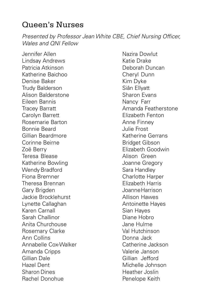#### Queen's Nurses

*Presented by Professor Jean White CBE, Chief Nursing Officer, Wales and QNI Fellow*

Jennifer Allen Lindsay Andrews Patricia Atkinson Katherine Baichoo Denise Baker Trudy Balderson Alison Balderstone Eileen Bannis Tracey Barratt Carolyn Barrett Rosemarie Barton Bonnie Beard Gillian Beardmore Corinne Beirne Zoë Berry Teresa Blease Katherine Bowling Wendy Bradford Fiona Bremner Theresa Brennan Gary Brigden Jackie Brocklehurst Lynette Callaghan Karen Carnall Sarah Challinor Anita Churchouse Rosemary Clarke Ann Collins Annabelle Cox-Walker Amanda Cripps Gillian Dale Hazel Dent Sharon Dines Rachel Donohue

Nazira Dowlut Katie Drake Deborah Duncan Cheryl Dunn Kim Dyke Siân Ellyatt Sharon Evans Nancy Farr Amanda Featherstone Elizabeth Fenton Anne Finney Julie Frost Katherine Gerrans Bridget Gibson Elizabeth Goodwin Alison Green Joanne Gregory Sara Handley Charlotte Harper Elizabeth Harris JoanneHarrison Allison Hawes Antoinette Hayes Sian Hayes Diane Hobro Jane Hulme Val Hutchinson Donna Jack Catherine Jackson Valerie Janson Gillian Jefford Michelle Johnson Heather Joslin Penelope Keith